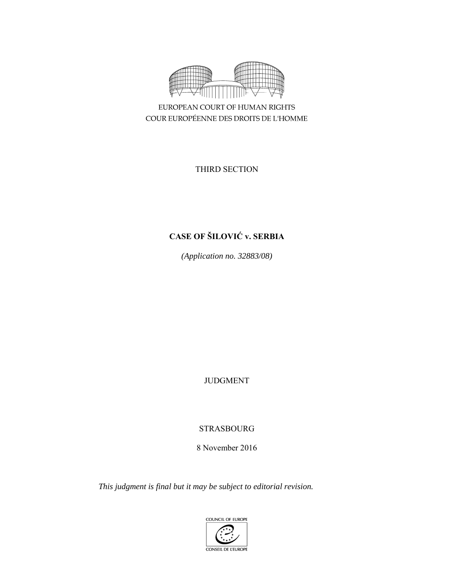

EUROPEAN COURT OF HUMAN RIGHTS COUR EUROPÉENNE DES DROITS DE L'HOMME

THIRD SECTION

# **CASE OF ŠILOVIĆ v. SERBIA**

*(Application no. 32883/08)* 

JUDGMENT

STRASBOURG

8 November 2016

*This judgment is final but it may be subject to editorial revision.* 

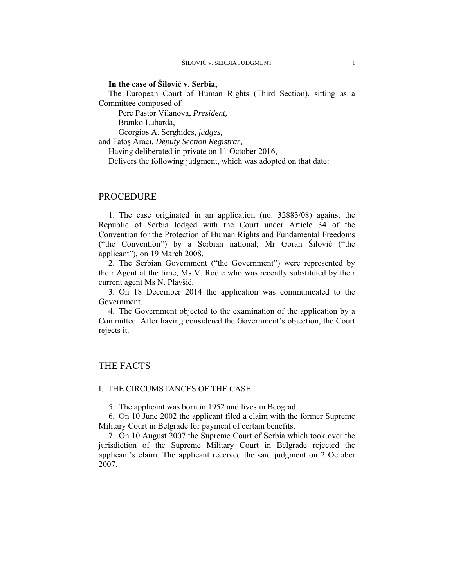## **In the case of Šilović v. Serbia,**

The European Court of Human Rights (Third Section), sitting as a Committee composed of:

Pere Pastor Vilanova, *President,* 

Branko Lubarda,

Georgios A. Serghides, *judges,*

and Fatoş Aracı, *Deputy Section Registrar,*

Having deliberated in private on 11 October 2016,

Delivers the following judgment, which was adopted on that date:

# PROCEDURE

1. The case originated in an application (no. 32883/08) against the Republic of Serbia lodged with the Court under Article 34 of the Convention for the Protection of Human Rights and Fundamental Freedoms ("the Convention") by a Serbian national, Mr Goran Šilović ("the applicant"), on 19 March 2008.

2. The Serbian Government ("the Government") were represented by their Agent at the time, Ms V. Rodić who was recently substituted by their current agent Ms N. Plavšić.

3. On 18 December 2014 the application was communicated to the Government.

4. The Government objected to the examination of the application by a Committee. After having considered the Government's objection, the Court rejects it.

# THE FACTS

#### I. THE CIRCUMSTANCES OF THE CASE

5. The applicant was born in 1952 and lives in Beograd.

6. On 10 June 2002 the applicant filed a claim with the former Supreme Military Court in Belgrade for payment of certain benefits.

7. On 10 August 2007 the Supreme Court of Serbia which took over the jurisdiction of the Supreme Military Court in Belgrade rejected the applicant's claim. The applicant received the said judgment on 2 October 2007.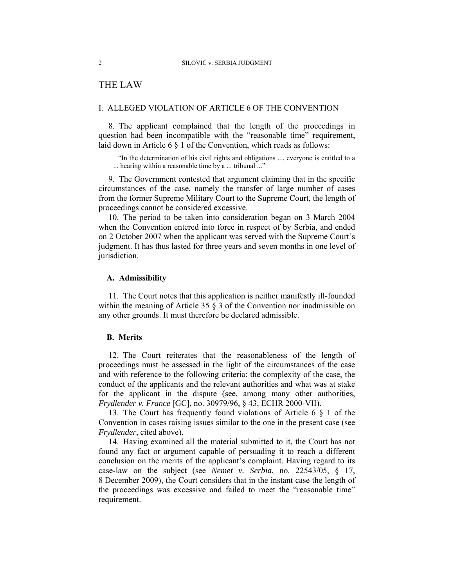# THE LAW

#### I. ALLEGED VIOLATION OF ARTICLE 6 OF THE CONVENTION

8. The applicant complained that the length of the proceedings in question had been incompatible with the "reasonable time" requirement, laid down in Article 6 § 1 of the Convention, which reads as follows:

"In the determination of his civil rights and obligations ..., everyone is entitled to a ... hearing within a reasonable time by a ... tribunal ..."

9. The Government contested that argument claiming that in the specific circumstances of the case, namely the transfer of large number of cases from the former Supreme Military Court to the Supreme Court, the length of proceedings cannot be considered excessive.

10. The period to be taken into consideration began on 3 March 2004 when the Convention entered into force in respect of by Serbia, and ended on 2 October 2007 when the applicant was served with the Supreme Court's judgment. It has thus lasted for three years and seven months in one level of jurisdiction.

#### **A. Admissibility**

11. The Court notes that this application is neither manifestly ill-founded within the meaning of Article 35 § 3 of the Convention nor inadmissible on any other grounds. It must therefore be declared admissible.

## **B. Merits**

12. The Court reiterates that the reasonableness of the length of proceedings must be assessed in the light of the circumstances of the case and with reference to the following criteria: the complexity of the case, the conduct of the applicants and the relevant authorities and what was at stake for the applicant in the dispute (see, among many other authorities, *Frydlender v. France* [GC], no. 30979/96, § 43, ECHR 2000-VII).

13. The Court has frequently found violations of Article 6 § 1 of the Convention in cases raising issues similar to the one in the present case (see *Frydlender*, cited above).

14. Having examined all the material submitted to it, the Court has not found any fact or argument capable of persuading it to reach a different conclusion on the merits of the applicant's complaint. Having regard to its case-law on the subject (see *Nemet v. Serbia*, no. 22543/05, § 17, 8 December 2009), the Court considers that in the instant case the length of the proceedings was excessive and failed to meet the "reasonable time" requirement.